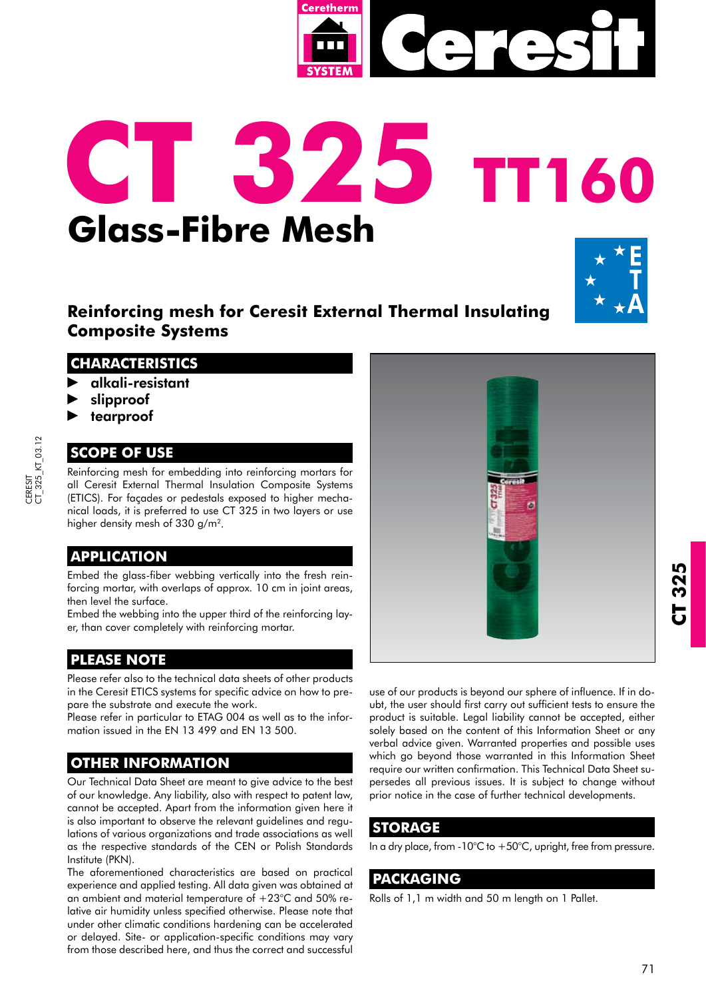

# **CT 325 TT160 Glass-Fibre Mesh**



# **Reinforcing mesh for Ceresit External Thermal Insulating Composite Systems**

### **CHARACTERISTICS**

- alkali-resistant
- slipproof
- tearproof

## **SCOPE OF USE**

Reinforcing mesh for embedding into reinforcing mortars for all Ceresit External Thermal Insulation Composite Systems (ETICS). For façades or pedestals exposed to higher mechanical loads, it is preferred to use CT 325 in two layers or use higher density mesh of 330 g/m<sup>2</sup>.

## **APPLICATION**

Embed the glass-fiber webbing vertically into the fresh reinforcing mortar, with overlaps of approx. 10 cm in joint areas, then level the surface.

Embed the webbing into the upper third of the reinforcing layer, than cover completely with reinforcing mortar.

# **PLEASE NOTE**

Please refer also to the technical data sheets of other products in the Ceresit ETICS systems for specific advice on how to prepare the substrate and execute the work.

Please refer in particular to ETAG 004 as well as to the information issued in the EN 13 499 and EN 13 500.

## **OTHER INFORMATION**

Our Technical Data Sheet are meant to give advice to the best of our knowledge. Any liability, also with respect to patent law, cannot be accepted. Apart from the information given here it is also important to observe the relevant guidelines and regulations of various organizations and trade associations as well as the respective standards of the CEN or Polish Standards Institute (PKN).

The aforementioned characteristics are based on practical experience and applied testing. All data given was obtained at an ambient and material temperature of  $+23^{\circ}$ C and 50% relative air humidity unless specified otherwise. Please note that under other climatic conditions hardening can be accelerated or delayed. Site- or application-specific conditions may vary from those described here, and thus the correct and successful



product is suitable. Legal liability cannot be accepted, either solely based on the content of this Information Sheet or any verbal advice given. Warranted properties and possible uses which go beyond those warranted in this Information Sheet require our written confirmation. This Technical Data Sheet supersedes all previous issues. It is subject to change without prior notice in the case of further technical developments.

#### **STORAGE**

In a dry place, from -10°C to  $+50$ °C, upright, free from pressure.

### **PACKAGING**

Rolls of 1,1 m width and 50 m length on 1 Pallet.